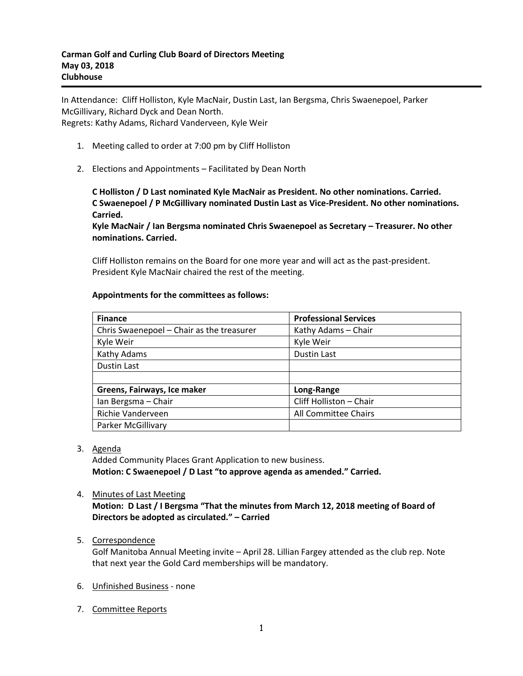In Attendance: Cliff Holliston, Kyle MacNair, Dustin Last, Ian Bergsma, Chris Swaenepoel, Parker McGillivary, Richard Dyck and Dean North. Regrets: Kathy Adams, Richard Vanderveen, Kyle Weir

- 1. Meeting called to order at 7:00 pm by Cliff Holliston
- 2. Elections and Appointments Facilitated by Dean North

**C Holliston / D Last nominated Kyle MacNair as President. No other nominations. Carried. C Swaenepoel / P McGillivary nominated Dustin Last as Vice-President. No other nominations. Carried.**

**Kyle MacNair / Ian Bergsma nominated Chris Swaenepoel as Secretary – Treasurer. No other nominations. Carried.**

Cliff Holliston remains on the Board for one more year and will act as the past-president. President Kyle MacNair chaired the rest of the meeting.

# **Appointments for the committees as follows:**

| <b>Finance</b>                            | <b>Professional Services</b> |
|-------------------------------------------|------------------------------|
| Chris Swaenepoel - Chair as the treasurer | Kathy Adams - Chair          |
| Kyle Weir                                 | Kyle Weir                    |
| Kathy Adams                               | <b>Dustin Last</b>           |
| Dustin Last                               |                              |
|                                           |                              |
| Greens, Fairways, Ice maker               | Long-Range                   |
| Ian Bergsma - Chair                       | Cliff Holliston - Chair      |
| Richie Vanderveen                         | All Committee Chairs         |
| Parker McGillivary                        |                              |

### 3. Agenda

Added Community Places Grant Application to new business. **Motion: C Swaenepoel / D Last "to approve agenda as amended." Carried.**

### 4. Minutes of Last Meeting

**Motion: D Last / I Bergsma "That the minutes from March 12, 2018 meeting of Board of Directors be adopted as circulated." – Carried**

# 5. Correspondence

Golf Manitoba Annual Meeting invite – April 28. Lillian Fargey attended as the club rep. Note that next year the Gold Card memberships will be mandatory.

- 6. Unfinished Business none
- 7. Committee Reports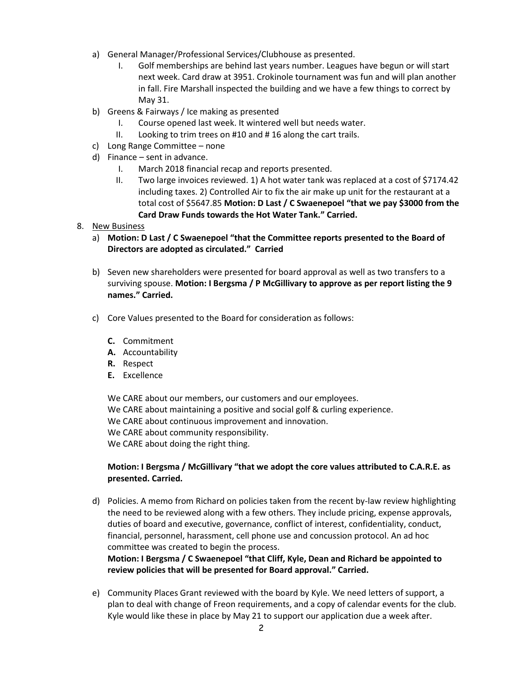- a) General Manager/Professional Services/Clubhouse as presented.
	- I. Golf memberships are behind last years number. Leagues have begun or will start next week. Card draw at 3951. Crokinole tournament was fun and will plan another in fall. Fire Marshall inspected the building and we have a few things to correct by May 31.
- b) Greens & Fairways / Ice making as presented
	- I. Course opened last week. It wintered well but needs water.
	- II. Looking to trim trees on #10 and # 16 along the cart trails.
- c) Long Range Committee none
- d) Finance sent in advance.
	- I. March 2018 financial recap and reports presented.
	- II. Two large invoices reviewed. 1) A hot water tank was replaced at a cost of \$7174.42 including taxes. 2) Controlled Air to fix the air make up unit for the restaurant at a total cost of \$5647.85 **Motion: D Last / C Swaenepoel "that we pay \$3000 from the Card Draw Funds towards the Hot Water Tank." Carried.**
- 8. New Business
	- a) **Motion: D Last / C Swaenepoel "that the Committee reports presented to the Board of Directors are adopted as circulated." Carried**
	- b) Seven new shareholders were presented for board approval as well as two transfers to a surviving spouse. **Motion: I Bergsma / P McGillivary to approve as per report listing the 9 names." Carried.**
	- c) Core Values presented to the Board for consideration as follows:
		- **C.** Commitment
		- **A.** Accountability
		- **R.** Respect
		- **E.** Excellence

We CARE about our members, our customers and our employees. We CARE about maintaining a positive and social golf & curling experience. We CARE about continuous improvement and innovation. We CARE about community responsibility. We CARE about doing the right thing.

# **Motion: I Bergsma / McGillivary "that we adopt the core values attributed to C.A.R.E. as presented. Carried.**

d) Policies. A memo from Richard on policies taken from the recent by-law review highlighting the need to be reviewed along with a few others. They include pricing, expense approvals, duties of board and executive, governance, conflict of interest, confidentiality, conduct, financial, personnel, harassment, cell phone use and concussion protocol. An ad hoc committee was created to begin the process.

**Motion: I Bergsma / C Swaenepoel "that Cliff, Kyle, Dean and Richard be appointed to review policies that will be presented for Board approval." Carried.**

e) Community Places Grant reviewed with the board by Kyle. We need letters of support, a plan to deal with change of Freon requirements, and a copy of calendar events for the club. Kyle would like these in place by May 21 to support our application due a week after.